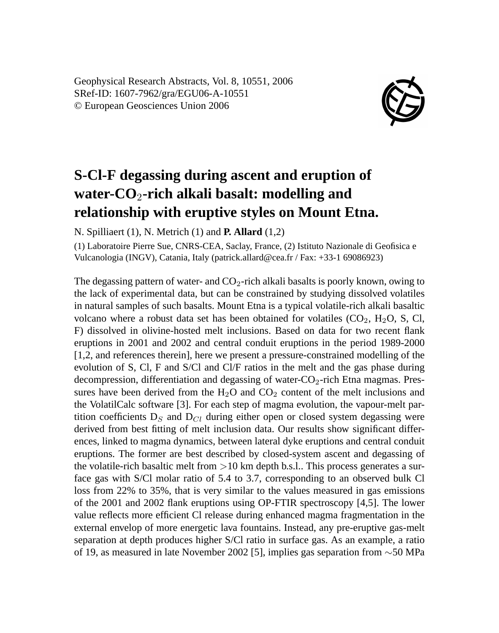Geophysical Research Abstracts, Vol. 8, 10551, 2006 SRef-ID: 1607-7962/gra/EGU06-A-10551 © European Geosciences Union 2006



## **S-Cl-F degassing during ascent and eruption of water-CO**2**-rich alkali basalt: modelling and relationship with eruptive styles on Mount Etna.**

N. Spilliaert (1), N. Metrich (1) and **P. Allard** (1,2)

(1) Laboratoire Pierre Sue, CNRS-CEA, Saclay, France, (2) Istituto Nazionale di Geofisica e Vulcanologia (INGV), Catania, Italy (patrick.allard@cea.fr / Fax: +33-1 69086923)

The degassing pattern of water- and  $CO<sub>2</sub>$ -rich alkali basalts is poorly known, owing to the lack of experimental data, but can be constrained by studying dissolved volatiles in natural samples of such basalts. Mount Etna is a typical volatile-rich alkali basaltic volcano where a robust data set has been obtained for volatiles  $(CO_2, H_2O, S, Cl,$ F) dissolved in olivine-hosted melt inclusions. Based on data for two recent flank eruptions in 2001 and 2002 and central conduit eruptions in the period 1989-2000 [1,2, and references therein], here we present a pressure-constrained modelling of the evolution of S, Cl, F and S/Cl and Cl/F ratios in the melt and the gas phase during decompression, differentiation and degassing of water- $CO<sub>2</sub>$ -rich Etna magmas. Pressures have been derived from the  $H_2O$  and  $CO_2$  content of the melt inclusions and the VolatilCalc software [3]. For each step of magma evolution, the vapour-melt partition coefficients  $D_s$  and  $D_{Cl}$  during either open or closed system degassing were derived from best fitting of melt inclusion data. Our results show significant differences, linked to magma dynamics, between lateral dyke eruptions and central conduit eruptions. The former are best described by closed-system ascent and degassing of the volatile-rich basaltic melt from  $>10$  km depth b.s.l.. This process generates a surface gas with S/Cl molar ratio of 5.4 to 3.7, corresponding to an observed bulk Cl loss from 22% to 35%, that is very similar to the values measured in gas emissions of the 2001 and 2002 flank eruptions using OP-FTIR spectroscopy [4,5]. The lower value reflects more efficient Cl release during enhanced magma fragmentation in the external envelop of more energetic lava fountains. Instead, any pre-eruptive gas-melt separation at depth produces higher S/Cl ratio in surface gas. As an example, a ratio of 19, as measured in late November 2002 [5], implies gas separation from ∼50 MPa